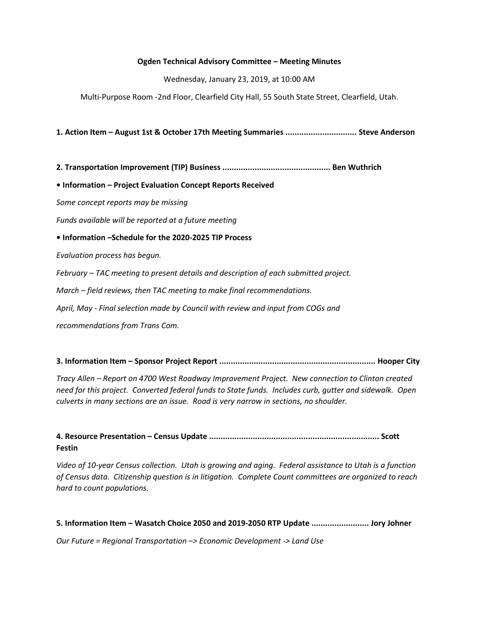### Ogden Technical Advisory Committee – Meeting Minutes

Wednesday, January 23, 2019, at 10:00 AM

Multi-Purpose Room -2nd Floor, Clearfield City Hall, 55 South State Street, Clearfield, Utah.

1. Action Item – August 1st & October 17th Meeting Summaries ............................... Steve Anderson

2. Transportation Improvement (TIP) Business ............................................... Ben Wuthrich

• Information – Project Evaluation Concept Reports Received

Some concept reports may be missing

Funds available will be reported at a future meeting

### • Information –Schedule for the 2020-2025 TIP Process

Evaluation process has begun.

February – TAC meeting to present details and description of each submitted project.

March – field reviews, then TAC meeting to make final recommendations.

April, May - Final selection made by Council with review and input from COGs and

recommendations from Trans Com.

3. Information Item – Sponsor Project Report .................................................................... Hooper City

Tracy Allen – Report on 4700 West Roadway Improvement Project. New connection to Clinton created need for this project. Converted federal funds to State funds. Includes curb, gutter and sidewalk. Open culverts in many sections are an issue. Road is very narrow in sections, no shoulder.

4. Resource Presentation – Census Update .......................................................................... Scott Festin

Video of 10-year Census collection. Utah is growing and aging. Federal assistance to Utah is a function of Census data. Citizenship question is in litigation. Complete Count committees are organized to reach hard to count populations.

5. Information Item – Wasatch Choice 2050 and 2019-2050 RTP Update ......................... Jory Johner

Our Future = Regional Transportation –> Economic Development -> Land Use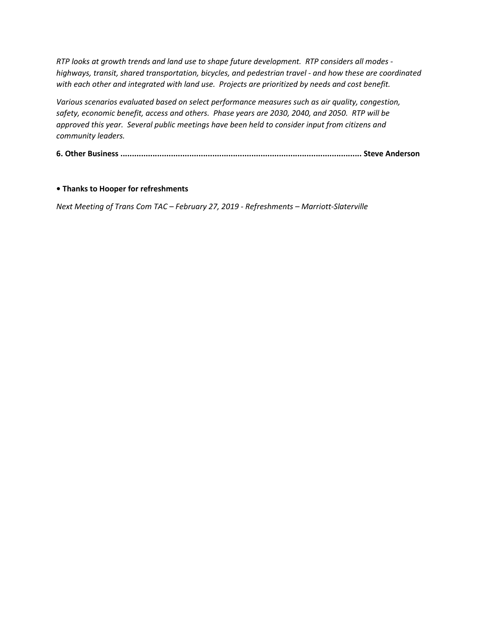RTP looks at growth trends and land use to shape future development. RTP considers all modes highways, transit, shared transportation, bicycles, and pedestrian travel - and how these are coordinated with each other and integrated with land use. Projects are prioritized by needs and cost benefit.

Various scenarios evaluated based on select performance measures such as air quality, congestion, safety, economic benefit, access and others. Phase years are 2030, 2040, and 2050. RTP will be approved this year. Several public meetings have been held to consider input from citizens and community leaders.

6. Other Business ......................................................................................................... Steve Anderson

## • Thanks to Hooper for refreshments

Next Meeting of Trans Com TAC – February 27, 2019 - Refreshments – Marriott-Slaterville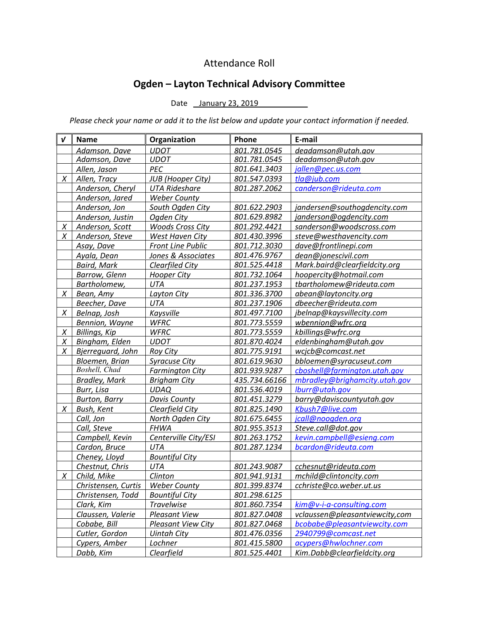# Attendance Roll

# Ogden – Layton Technical Advisory Committee

Date January 23, 2019

Please check your name or add it to the list below and update your contact information if needed.

| $\boldsymbol{\nu}$ | <b>Name</b>          | Organization              | Phone         | E-mail                         |
|--------------------|----------------------|---------------------------|---------------|--------------------------------|
|                    | Adamson, Dave        | <b>UDOT</b>               | 801.781.0545  | deadamson@utah.gov             |
|                    | Adamson, Dave        | <b>UDOT</b>               | 801.781.0545  | deadamson@utah.gov             |
|                    | Allen, Jason         | PEC                       | 801.641.3403  | jallen@pec.us.com              |
| $\chi$             | Allen, Tracy         | <b>JUB</b> (Hooper City)  | 801.547.0393  | tla@jub.com                    |
|                    | Anderson, Cheryl     | <b>UTA Rideshare</b>      | 801.287.2062  | canderson@rideuta.com          |
|                    | Anderson, Jared      | <b>Weber County</b>       |               |                                |
|                    | Anderson, Jon        | South Ogden City          | 801.622.2903  | jandersen@southogdencity.com   |
|                    | Anderson, Justin     | Ogden City                | 801.629.8982  | janderson@ogdencity.com        |
| X                  | Anderson, Scott      | <b>Woods Cross City</b>   | 801.292.4421  | sanderson@woodscross.com       |
| X                  | Anderson, Steve      | West Haven City           | 801.430.3996  | steve@westhavencity.com        |
|                    | Asay, Dave           | <b>Front Line Public</b>  | 801.712.3030  | dave@frontlinepi.com           |
|                    | Ayala, Dean          | Jones & Associates        | 801.476.9767  | dean@jonescivil.com            |
|                    | <b>Baird, Mark</b>   | <b>Clearfiled City</b>    | 801.525.4418  | Mark.baird@clearfieldcity.org  |
|                    | <b>Barrow, Glenn</b> | <b>Hooper City</b>        | 801.732.1064  | hoopercity@hotmail.com         |
|                    | Bartholomew,         | <b>UTA</b>                | 801.237.1953  | tbartholomew@rideuta.com       |
| X                  | Bean, Amy            | Layton City               | 801.336.3700  | abean@laytoncity.org           |
|                    | Beecher, Dave        | <b>UTA</b>                | 801.237.1906  | dbeecher@rideuta.com           |
| X                  | Belnap, Josh         | Kaysville                 | 801.497.7100  | jbelnap@kaysvillecity.com      |
|                    | Bennion, Wayne       | <b>WFRC</b>               | 801.773.5559  | wbennion@wfrc.org              |
| X                  | <b>Billings, Kip</b> | <b>WFRC</b>               | 801.773.5559  | kbillings@wfrc.org             |
| X                  | Bingham, Elden       | <b>UDOT</b>               | 801.870.4024  | eldenbingham@utah.gov          |
| X                  | Bjerreguard, John    | <b>Roy City</b>           | 801.775.9191  | wcjcb@comcast.net              |
|                    | Bloemen, Brian       | <b>Syracuse City</b>      | 801.619.9630  | bbloemen@syracuseut.com        |
|                    | Boshell, Chad        | <b>Farmington City</b>    | 801.939.9287  | cboshell@farmington.utah.gov   |
|                    | <b>Bradley, Mark</b> | <b>Brigham City</b>       | 435.734.66166 | mbradley@brighamcity.utah.gov  |
|                    | Burr, Lisa           | <b>UDAQ</b>               | 801.536.4019  | lburr@utah.gov                 |
|                    | <b>Burton, Barry</b> | <b>Davis County</b>       | 801.451.3279  | barry@daviscountyutah.gov      |
| $\chi$             | Bush, Kent           | Clearfield City           | 801.825.1490  | Kbush7@live.com                |
|                    | Call, Jon            | North Ogden City          | 801.675.6455  | jcall@noogden.org              |
|                    | Call, Steve          | <b>FHWA</b>               | 801.955.3513  | Steve.call@dot.gov             |
|                    | Campbell, Kevin      | Centerville City/ESI      | 801.263.1752  | kevin.campbell@esieng.com      |
|                    | Cardon, Bruce        | UTA                       | 801.287.1234  | bcardon@rideuta.com            |
|                    | Cheney, Lloyd        | <b>Bountiful City</b>     |               |                                |
|                    | Chestnut, Chris      | UTA                       | 801.243.9087  | cchesnut@rideuta.com           |
| X                  | Child, Mike          | <b>Clinton</b>            | 801.941.9131  | mchild@clintoncity.com         |
|                    | Christensen, Curtis  | <b>Weber County</b>       | 801.399.8374  | cchriste@co.weber.ut.us        |
|                    | Christensen, Todd    | <b>Bountiful City</b>     | 801.298.6125  |                                |
|                    | Clark, Kim           | <b>Travelwise</b>         | 801.860.7354  | kim@v-i-a-consulting.com       |
|                    | Claussen, Valerie    | <b>Pleasant View</b>      | 801.827.0408  | vclaussen@pleasantviewcity,com |
|                    | Cobabe, Bill         | <b>Pleasant View City</b> | 801.827.0468  | bcobabe@pleasantviewcity.com   |
|                    | Cutler, Gordon       | <b>Uintah City</b>        | 801.476.0356  | 2940799@comcast.net            |
|                    | Cypers, Amber        | Lochner                   | 801.415.5800  | acypers@hwlochner.com          |
|                    | Dabb, Kim            | Clearfield                | 801.525.4401  | Kim.Dabb@clearfieldcity.org    |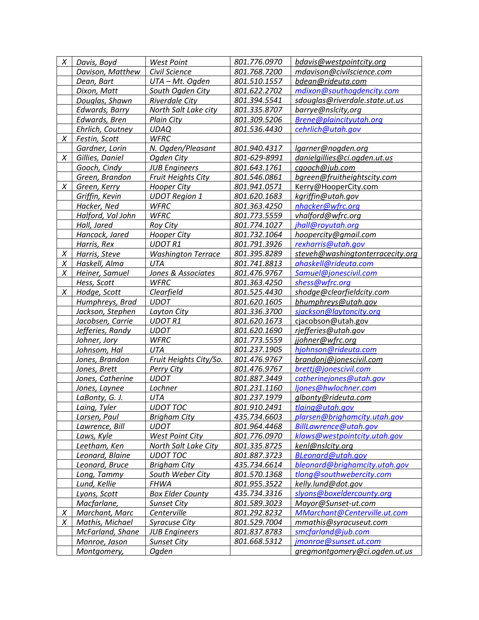| X | Davis, Boyd       | <b>West Point</b>         | 801.776.0970 | bdavis@westpointcity.org         |
|---|-------------------|---------------------------|--------------|----------------------------------|
|   | Davison, Matthew  | Civil Science             | 801.768.7200 | mdavison@civilscience.com        |
|   | Dean, Bart        | UTA - Mt. Ogden           | 801.510.1557 | bdean@rideuta.com                |
|   | Dixon, Matt       | South Ogden City          | 801.622.2702 | mdixon@southogdencity.com        |
|   | Douglas, Shawn    | <b>Riverdale City</b>     | 801.394.5541 | sdouglas@riverdale.state.ut.us   |
|   | Edwards, Barry    | North Salt Lake city      | 801.335.8707 | barrye@nslcity,org               |
|   | Edwards, Bren     | <b>Plain City</b>         | 801.309.5206 | Brene@plaincityutah.org          |
|   | Ehrlich, Coutney  | <b>UDAQ</b>               | 801.536.4430 | cehrlich@utah.gov                |
| X | Festin, Scott     | <b>WFRC</b>               |              |                                  |
|   | Gardner, Lorin    | N. Ogden/Pleasant         | 801.940.4317 | lgarner@nogden.org               |
| X | Gillies, Daniel   | Ogden City                | 801-629-8991 | danielgillies@ci.ogden.ut.us     |
|   | Gooch, Cindy      | <b>JUB Engineers</b>      | 801.643.1761 | cgooch@jub.com                   |
|   | Green, Brandon    | <b>Fruit Heights City</b> | 801.546.0861 | bgreen@fruitheightscity.com      |
| X | Green, Kerry      | <b>Hooper City</b>        | 801.941.0571 | Kerry@HooperCity.com             |
|   | Griffin, Kevin    | <b>UDOT Region 1</b>      | 801.620.1683 | kgriffin@utah.gov                |
|   | Hacker, Ned       | <b>WFRC</b>               | 801.363.4250 | nhacker@wfrc.org                 |
|   | Halford, Val John | <b>WFRC</b>               | 801.773.5559 | vhalford@wfrc.org                |
|   | Hall, Jared       | <b>Roy City</b>           | 801.774.1027 | jhall@royutah.org                |
|   | Hancock, Jared    | <b>Hooper City</b>        | 801.732.1064 | hoopercity@gmail.com             |
|   | Harris, Rex       | <b>UDOTR1</b>             | 801.791.3926 | rexharris@utah.gov               |
| X | Harris, Steve     | <b>Washington Terrace</b> | 801.395.8289 | steveh@washingtonterracecity.org |
| X | Haskell, Alma     | <b>UTA</b>                | 801.741.8813 | ahaskell@rideuta.com             |
| X | Heiner, Samuel    | Jones & Associates        | 801.476.9767 | Samuel@jonescivil.com            |
|   | Hess, Scott       | <b>WFRC</b>               | 801.363.4250 | shess@wfrc.org                   |
| X | Hodge, Scott      | Clearfield                | 801.525.4430 | shodge@clearfieldcity.com        |
|   | Humphreys, Brad   | <b>UDOT</b>               | 801.620.1605 | bhumphreys@utah.gov              |
|   | Jackson, Stephen  |                           | 801.336.3700 | sjackson@laytoncity.org          |
|   |                   | Layton City               | 801.620.1673 |                                  |
|   | Jacobsen, Carrie  | <b>UDOTR1</b>             |              | cjacobson@utah.gov               |
|   | Jefferies, Randy  | <b>UDOT</b>               | 801.620.1690 | rjefferies@utah.gov              |
|   | Johner, Jory      | WFRC                      | 801.773.5559 | jjohner@wfrc.org                 |
|   | Johnsom, Hal      | <b>UTA</b>                | 801.237.1905 | hjohnson@rideuta.com             |
|   | Jones, Brandon    | Fruit Heights City/So.    | 801.476.9767 | brandonj@jonescivil.com          |
|   | Jones, Brett      | Perry City                | 801.476.9767 | brettj@jonescivil.com            |
|   | Jones, Catherine  | <b>UDOT</b>               | 801.887.3449 | catherinejones@utah.gov          |
|   | Jones, Laynee     | Lochner                   | 801.231.1160 | ljones@hwlochner.com             |
|   | LaBonty, G. J.    | UTA                       | 801.237.1979 | glbonty@rideuta.com              |
|   | Laing, Tyler      | <b>UDOT TOC</b>           | 801.910.2491 | tlaing@utah.gov                  |
|   | Larsen, Paul      | <b>Brigham City</b>       | 435.734.6603 | plarsen@brighamcity.utah.gov     |
|   | Lawrence, Bill    | <b>UDOT</b>               | 801.964.4468 | BillLawrence@utah.gov            |
|   | Laws, Kyle        | <b>West Point City</b>    | 801.776.0970 | klaws@westpointcity.utah.gov     |
|   | Leetham, Ken      | North Salt Lake City      | 801.335.8725 | kenl@nslcity.org                 |
|   | Leonard, Blaine   | <b>UDOT TOC</b>           | 801.887.3723 | <b>BLeonard@utah.gov</b>         |
|   | Leonard, Bruce    | <b>Brigham City</b>       | 435.734.6614 | bleonard@brighamcity.utah.gov    |
|   | Long, Tammy       | South Weber City          | 801.570.1368 | tlong@southwebercity.com         |
|   | Lund, Kellie      | <b>FHWA</b>               | 801.955.3522 | kelly.lund@dot.gov               |
|   | Lyons, Scott      | <b>Box Elder County</b>   | 435.734.3316 | slyons@boxeldercounty.org        |
|   | Macfarlane,       | <b>Sunset City</b>        | 801.589.3023 | Mayor@Sunset-ut.com              |
| X | Marchant, Marc    | Centerville               | 801.292.8232 | MMarchant@Centerville.ut.com     |
| X | Mathis, Michael   | <b>Syracuse City</b>      | 801.529.7004 | mmathis@syracuseut.com           |
|   | McFarland, Shane  | <b>JUB Engineers</b>      | 801.837.8783 | smcfarland@jub.com               |
|   | Monroe, Jason     | <b>Sunset City</b>        | 801.668.5312 | jmonroe@sunset.ut.com            |
|   | Montgomery,       | Ogden                     |              | gregmontgomery@ci.ogden.ut.us    |